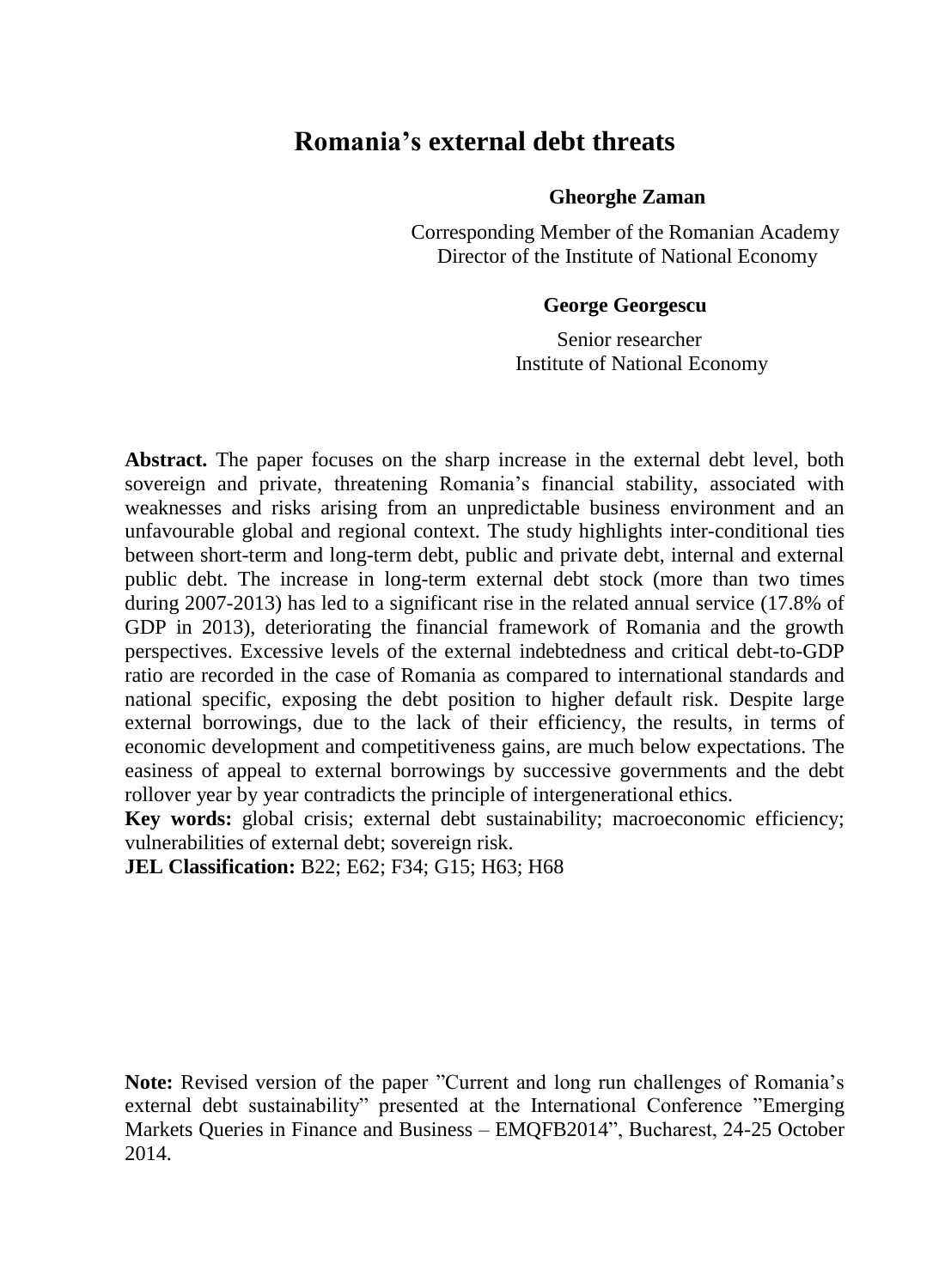# **Romania's external debt threats**

# **Gheorghe Zaman**

 Corresponding Member of the Romanian Academy Director of the Institute of National Economy

# **George Georgescu**

 Senior researcher Institute of National Economy

**Abstract.** The paper focuses on the sharp increase in the external debt level, both sovereign and private, threatening Romania's financial stability, associated with weaknesses and risks arising from an unpredictable business environment and an unfavourable global and regional context. The study highlights inter-conditional ties between short-term and long-term debt, public and private debt, internal and external public debt. The increase in long-term external debt stock (more than two times during 2007-2013) has led to a significant rise in the related annual service (17.8% of GDP in 2013), deteriorating the financial framework of Romania and the growth perspectives. Excessive levels of the external indebtedness and critical debt-to-GDP ratio are recorded in the case of Romania as compared to international standards and national specific, exposing the debt position to higher default risk. Despite large external borrowings, due to the lack of their efficiency, the results, in terms of economic development and competitiveness gains, are much below expectations. The easiness of appeal to external borrowings by successive governments and the debt rollover year by year contradicts the principle of intergenerational ethics.

**Key words:** global crisis; external debt sustainability; macroeconomic efficiency; vulnerabilities of external debt; sovereign risk.

**JEL Classification:** B22; E62; F34; G15; H63; H68

**Note:** Revised version of the paper "Current and long run challenges of Romania's external debt sustainability" presented at the International Conference "Emerging Markets Queries in Finance and Business – EMQFB2014", Bucharest, 24-25 October 2014.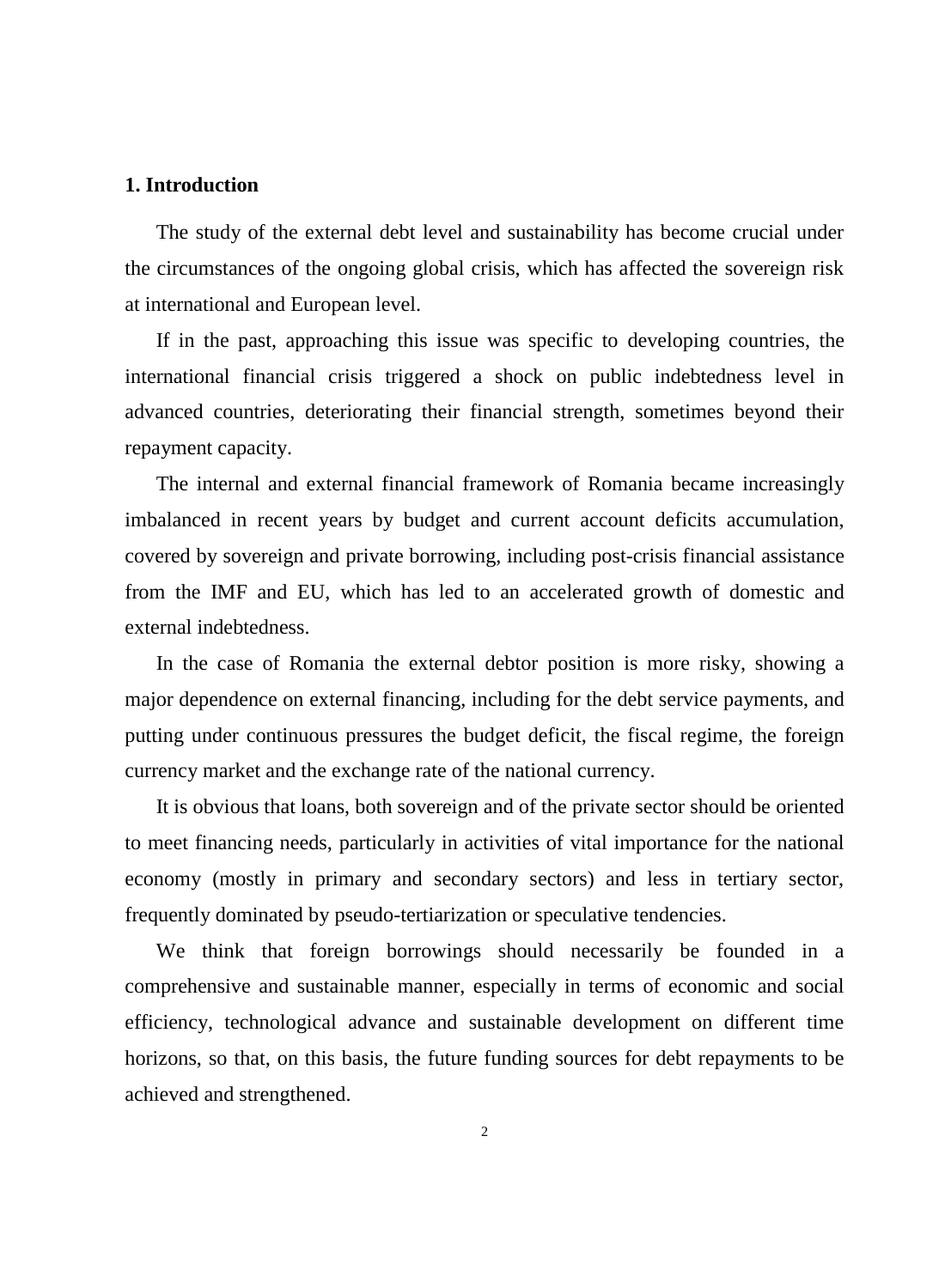# **1. Introduction**

The study of the external debt level and sustainability has become crucial under the circumstances of the ongoing global crisis, which has affected the sovereign risk at international and European level.

If in the past, approaching this issue was specific to developing countries, the international financial crisis triggered a shock on public indebtedness level in advanced countries, deteriorating their financial strength, sometimes beyond their repayment capacity.

The internal and external financial framework of Romania became increasingly imbalanced in recent years by budget and current account deficits accumulation, covered by sovereign and private borrowing, including post-crisis financial assistance from the IMF and EU, which has led to an accelerated growth of domestic and external indebtedness.

In the case of Romania the external debtor position is more risky, showing a major dependence on external financing, including for the debt service payments, and putting under continuous pressures the budget deficit, the fiscal regime, the foreign currency market and the exchange rate of the national currency.

It is obvious that loans, both sovereign and of the private sector should be oriented to meet financing needs, particularly in activities of vital importance for the national economy (mostly in primary and secondary sectors) and less in tertiary sector, frequently dominated by pseudo-tertiarization or speculative tendencies.

We think that foreign borrowings should necessarily be founded in a comprehensive and sustainable manner, especially in terms of economic and social efficiency, technological advance and sustainable development on different time horizons, so that, on this basis, the future funding sources for debt repayments to be achieved and strengthened.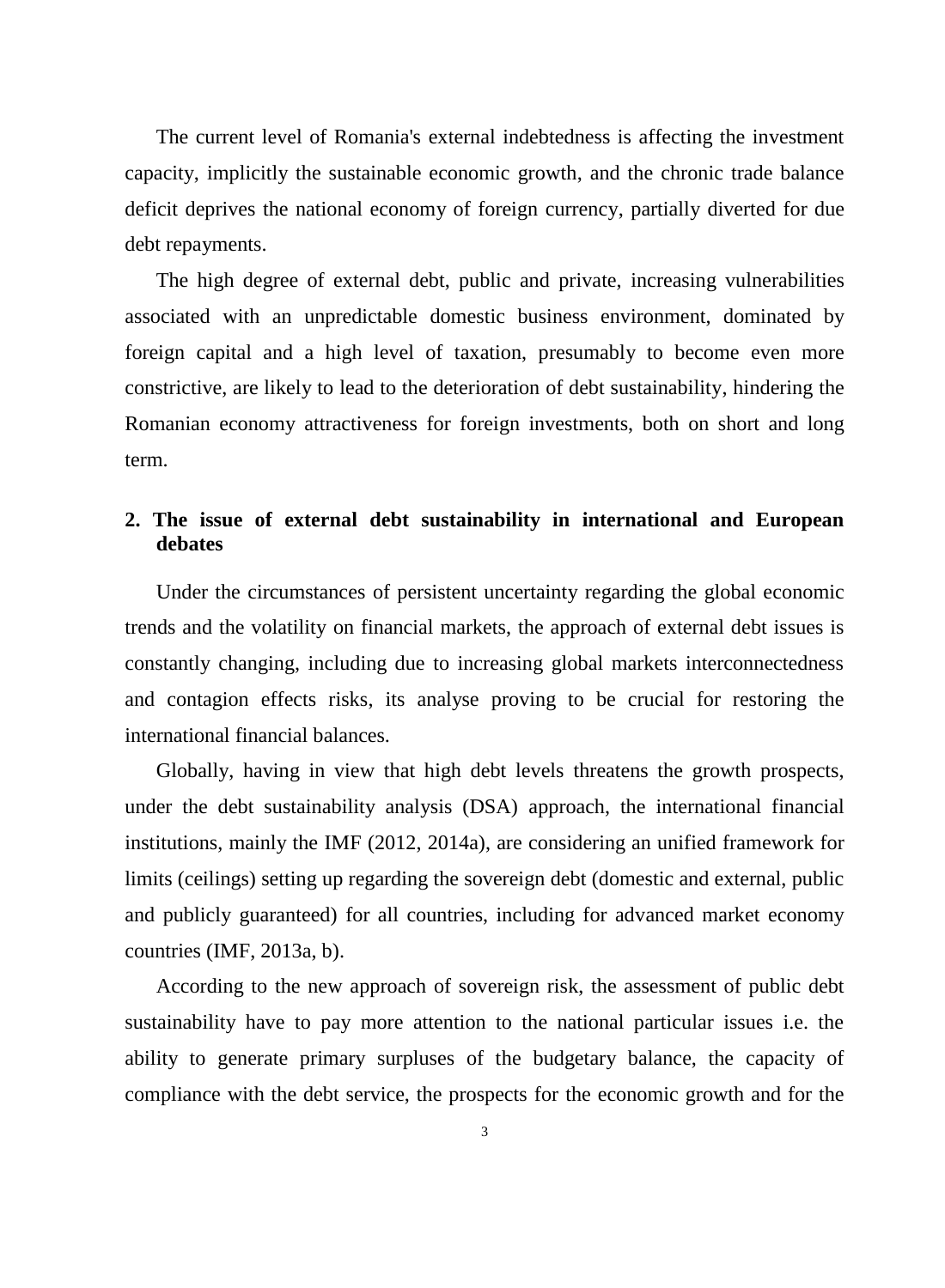The current level of Romania's external indebtedness is affecting the investment capacity, implicitly the sustainable economic growth, and the chronic trade balance deficit deprives the national economy of foreign currency, partially diverted for due debt repayments.

The high degree of external debt, public and private, increasing vulnerabilities associated with an unpredictable domestic business environment, dominated by foreign capital and a high level of taxation, presumably to become even more constrictive, are likely to lead to the deterioration of debt sustainability, hindering the Romanian economy attractiveness for foreign investments, both on short and long term.

# **2. The issue of external debt sustainability in international and European debates**

Under the circumstances of persistent uncertainty regarding the global economic trends and the volatility on financial markets, the approach of external debt issues is constantly changing, including due to increasing global markets interconnectedness and contagion effects risks, its analyse proving to be crucial for restoring the international financial balances.

Globally, having in view that high debt levels threatens the growth prospects, under the debt sustainability analysis (DSA) approach, the international financial institutions, mainly the IMF (2012, 2014a), are considering an unified framework for limits (ceilings) setting up regarding the sovereign debt (domestic and external, public and publicly guaranteed) for all countries, including for advanced market economy countries (IMF, 2013a, b).

According to the new approach of sovereign risk, the assessment of public debt sustainability have to pay more attention to the national particular issues i.e. the ability to generate primary surpluses of the budgetary balance, the capacity of compliance with the debt service, the prospects for the economic growth and for the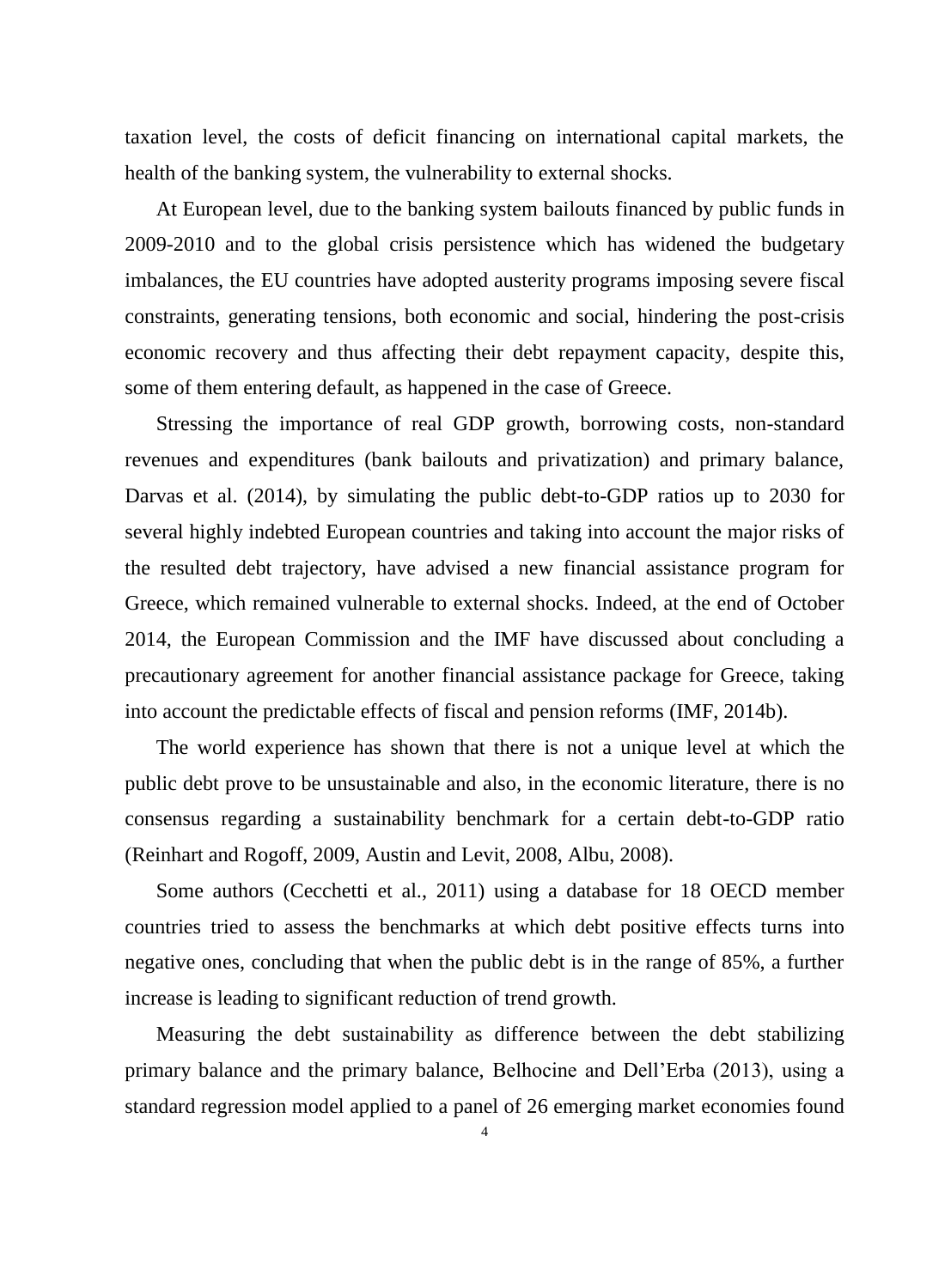taxation level, the costs of deficit financing on international capital markets, the health of the banking system, the vulnerability to external shocks.

At European level, due to the banking system bailouts financed by public funds in 2009-2010 and to the global crisis persistence which has widened the budgetary imbalances, the EU countries have adopted austerity programs imposing severe fiscal constraints, generating tensions, both economic and social, hindering the post-crisis economic recovery and thus affecting their debt repayment capacity, despite this, some of them entering default, as happened in the case of Greece.

Stressing the importance of real GDP growth, borrowing costs, non-standard revenues and expenditures (bank bailouts and privatization) and primary balance, Darvas et al. (2014), by simulating the public debt-to-GDP ratios up to 2030 for several highly indebted European countries and taking into account the major risks of the resulted debt trajectory, have advised a new financial assistance program for Greece, which remained vulnerable to external shocks. Indeed, at the end of October 2014, the European Commission and the IMF have discussed about concluding a precautionary agreement for another financial assistance package for Greece, taking into account the predictable effects of fiscal and pension reforms (IMF, 2014b).

The world experience has shown that there is not a unique level at which the public debt prove to be unsustainable and also, in the economic literature, there is no consensus regarding a sustainability benchmark for a certain debt-to-GDP ratio (Reinhart and Rogoff, 2009, Austin and Levit, 2008, Albu, 2008).

Some authors (Cecchetti et al., 2011) using a database for 18 OECD member countries tried to assess the benchmarks at which debt positive effects turns into negative ones, concluding that when the public debt is in the range of 85%, a further increase is leading to significant reduction of trend growth.

Measuring the debt sustainability as difference between the debt stabilizing primary balance and the primary balance, Belhocine and Dell'Erba (2013), using a standard regression model applied to a panel of 26 emerging market economies found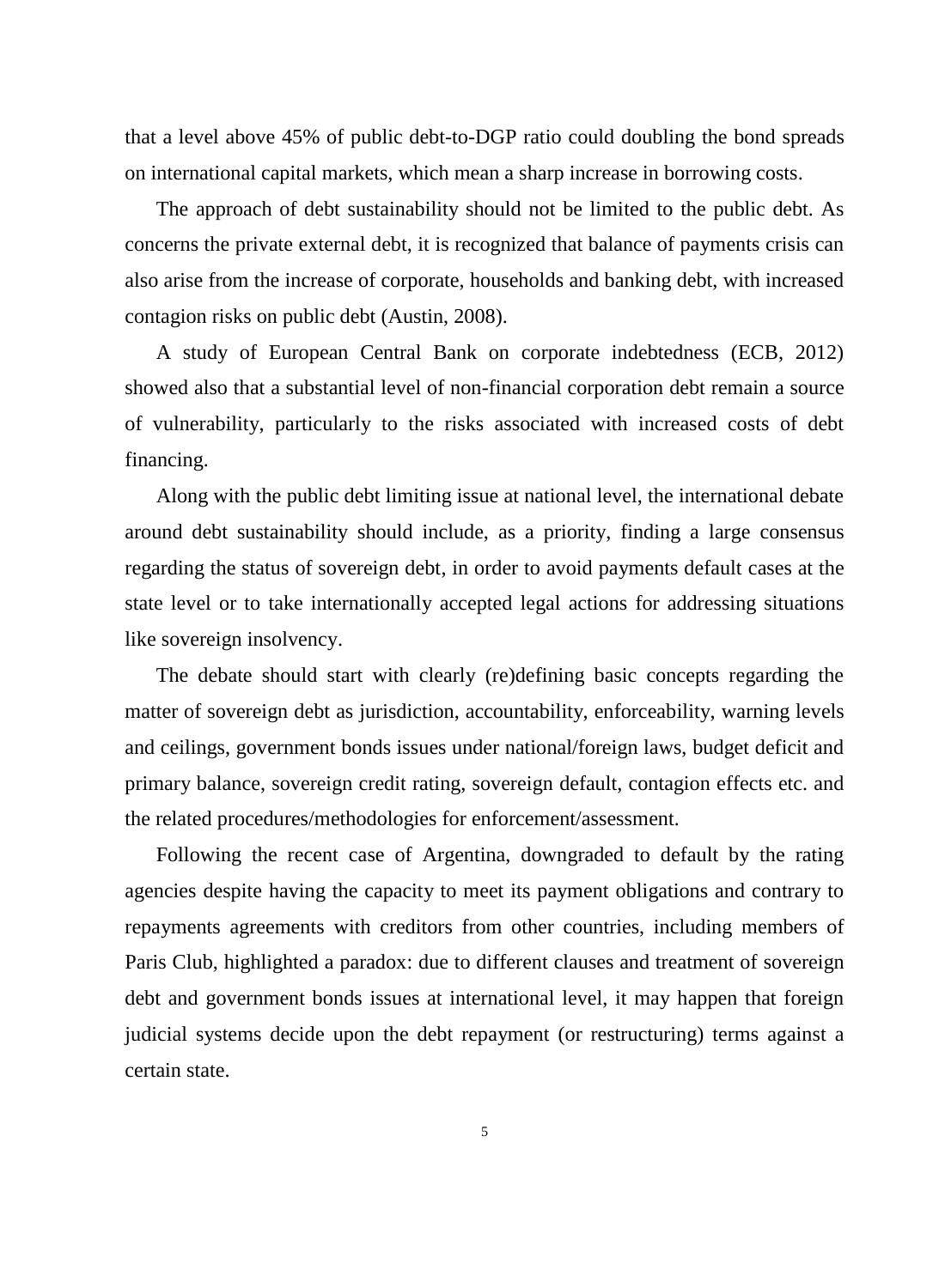that a level above 45% of public debt-to-DGP ratio could doubling the bond spreads on international capital markets, which mean a sharp increase in borrowing costs.

The approach of debt sustainability should not be limited to the public debt. As concerns the private external debt, it is recognized that balance of payments crisis can also arise from the increase of corporate, households and banking debt, with increased contagion risks on public debt (Austin, 2008).

A study of European Central Bank on corporate indebtedness (ECB, 2012) showed also that a substantial level of non-financial corporation debt remain a source of vulnerability, particularly to the risks associated with increased costs of debt financing.

Along with the public debt limiting issue at national level, the international debate around debt sustainability should include, as a priority, finding a large consensus regarding the status of sovereign debt, in order to avoid payments default cases at the state level or to take internationally accepted legal actions for addressing situations like sovereign insolvency.

The debate should start with clearly (re)defining basic concepts regarding the matter of sovereign debt as jurisdiction, accountability, enforceability, warning levels and ceilings, government bonds issues under national/foreign laws, budget deficit and primary balance, sovereign credit rating, sovereign default, contagion effects etc. and the related procedures/methodologies for enforcement/assessment.

Following the recent case of Argentina, downgraded to default by the rating agencies despite having the capacity to meet its payment obligations and contrary to repayments agreements with creditors from other countries, including members of Paris Club, highlighted a paradox: due to different clauses and treatment of sovereign debt and government bonds issues at international level, it may happen that foreign judicial systems decide upon the debt repayment (or restructuring) terms against a certain state.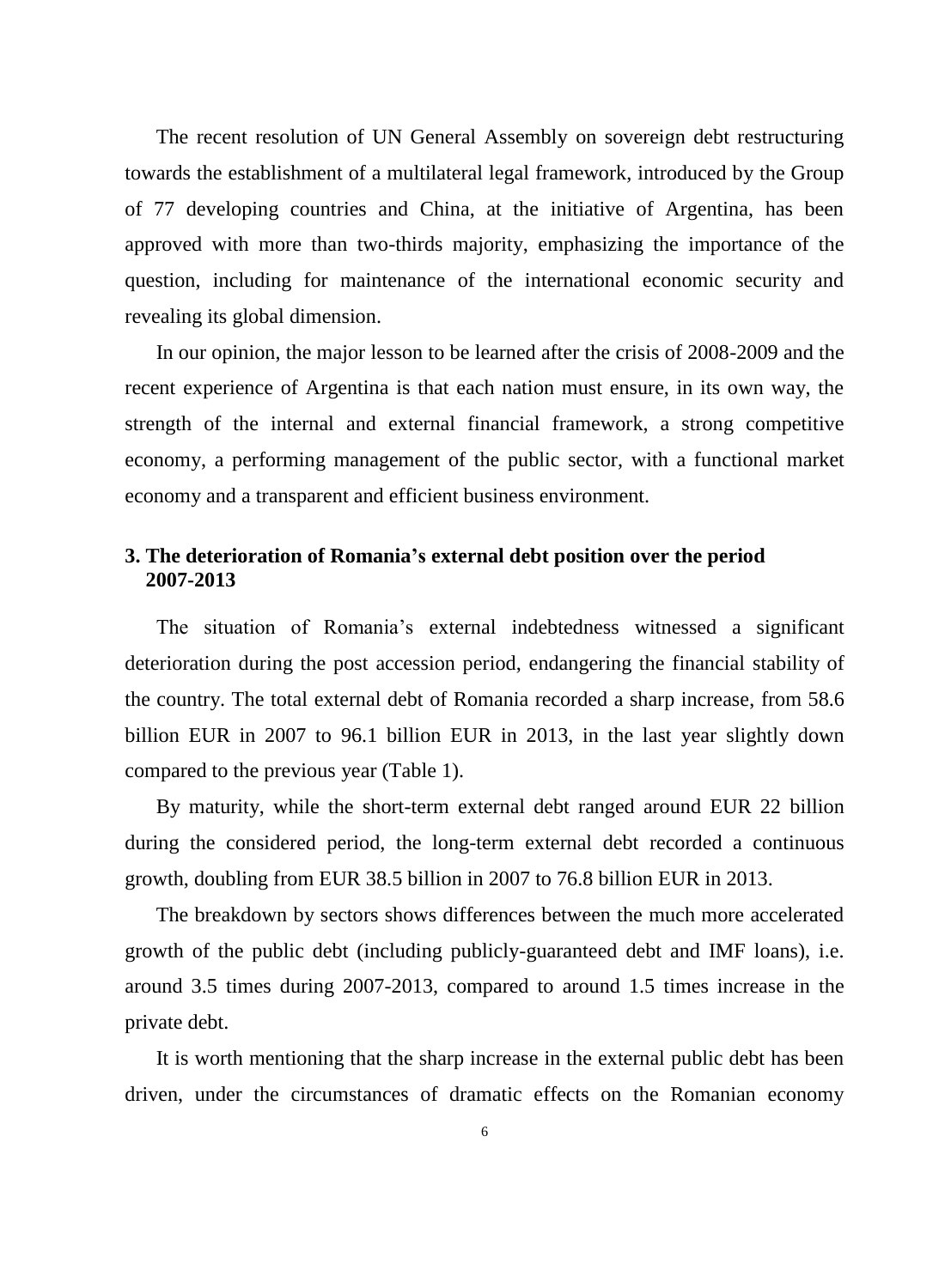The recent resolution of UN General Assembly on sovereign debt restructuring towards the establishment of a multilateral legal framework, introduced by the Group of 77 developing countries and China, at the initiative of Argentina, has been approved with more than two-thirds majority, emphasizing the importance of the question, including for maintenance of the international economic security and revealing its global dimension.

In our opinion, the major lesson to be learned after the crisis of 2008-2009 and the recent experience of Argentina is that each nation must ensure, in its own way, the strength of the internal and external financial framework, a strong competitive economy, a performing management of the public sector, with a functional market economy and a transparent and efficient business environment.

# **3. The deterioration of Romania's external debt position over the period 2007-2013**

The situation of Romania's external indebtedness witnessed a significant deterioration during the post accession period, endangering the financial stability of the country. The total external debt of Romania recorded a sharp increase, from 58.6 billion EUR in 2007 to 96.1 billion EUR in 2013, in the last year slightly down compared to the previous year (Table 1).

By maturity, while the short-term external debt ranged around EUR 22 billion during the considered period, the long-term external debt recorded a continuous growth, doubling from EUR 38.5 billion in 2007 to 76.8 billion EUR in 2013.

The breakdown by sectors shows differences between the much more accelerated growth of the public debt (including publicly-guaranteed debt and IMF loans), i.e. around 3.5 times during 2007-2013, compared to around 1.5 times increase in the private debt.

It is worth mentioning that the sharp increase in the external public debt has been driven, under the circumstances of dramatic effects on the Romanian economy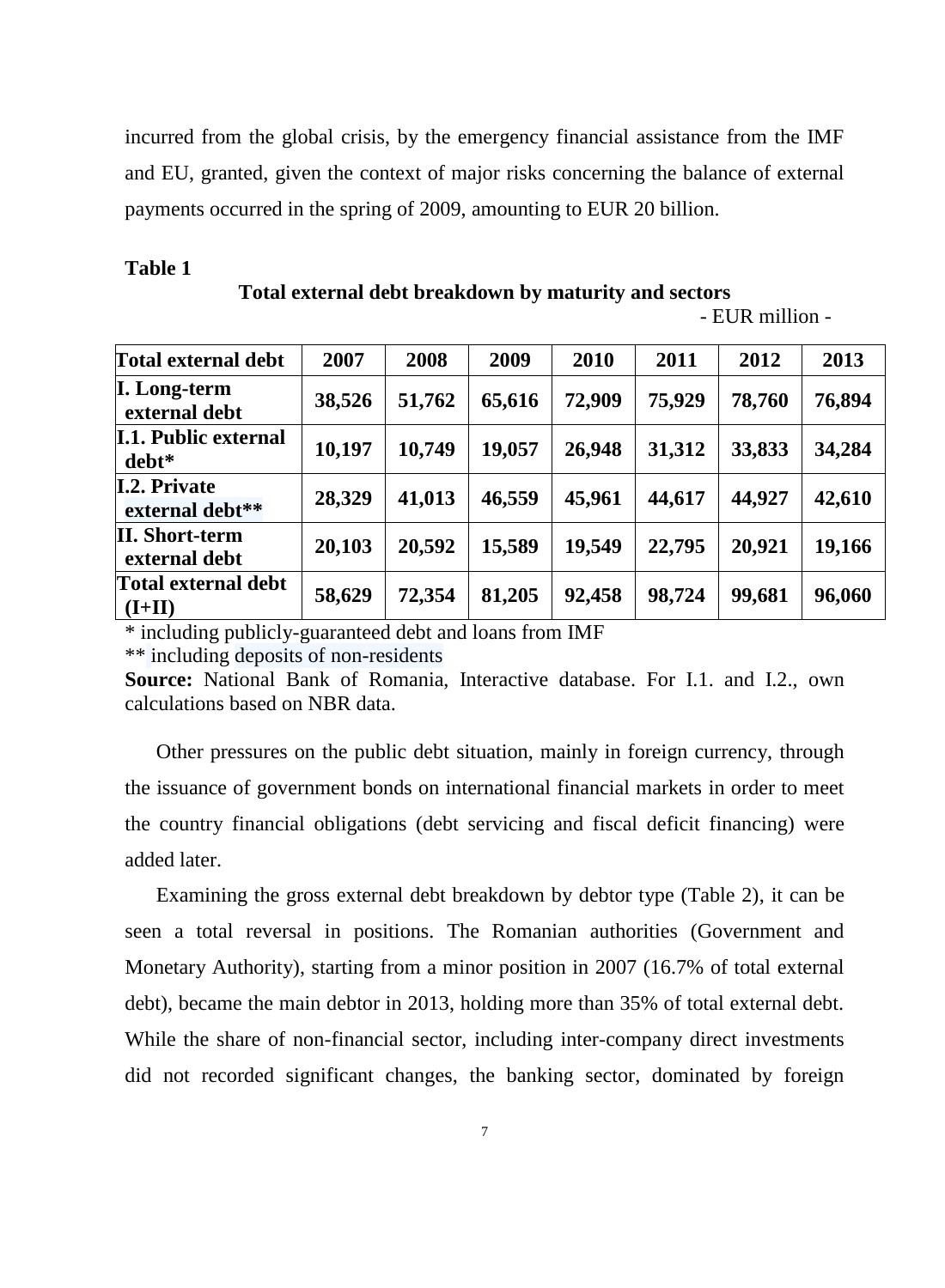incurred from the global crisis, by the emergency financial assistance from the IMF and EU, granted, given the context of major risks concerning the balance of external payments occurred in the spring of 2009, amounting to EUR 20 billion.

#### **Table 1**

**Total external debt breakdown by maturity and sectors**

- EUR million -

| <b>Total external debt</b>             | 2007   | 2008   | 2009   | 2010   | 2011   | 2012   | 2013   |
|----------------------------------------|--------|--------|--------|--------|--------|--------|--------|
| I. Long-term<br>external debt          | 38,526 | 51,762 | 65,616 | 72,909 | 75,929 | 78,760 | 76,894 |
| <b>I.1. Public external</b><br>debt*   | 10,197 | 10,749 | 19,057 | 26,948 | 31,312 | 33,833 | 34,284 |
| <b>I.2. Private</b><br>external debt** | 28,329 | 41,013 | 46,559 | 45,961 | 44,617 | 44,927 | 42,610 |
| II. Short-term<br>external debt        | 20,103 | 20,592 | 15,589 | 19,549 | 22,795 | 20,921 | 19,166 |
| Total external debt<br>$(I+II)$        | 58,629 | 72,354 | 81,205 | 92,458 | 98,724 | 99,681 | 96,060 |

\* including publicly-guaranteed debt and loans from IMF

\*\* including deposits of non-residents

**Source:** National Bank of Romania, Interactive database. For I.1. and I.2., own calculations based on NBR data.

Other pressures on the public debt situation, mainly in foreign currency, through the issuance of government bonds on international financial markets in order to meet the country financial obligations (debt servicing and fiscal deficit financing) were added later.

Examining the gross external debt breakdown by debtor type (Table 2), it can be seen a total reversal in positions. The Romanian authorities (Government and Monetary Authority), starting from a minor position in 2007 (16.7% of total external debt), became the main debtor in 2013, holding more than 35% of total external debt. While the share of non-financial sector, including inter-company direct investments did not recorded significant changes, the banking sector, dominated by foreign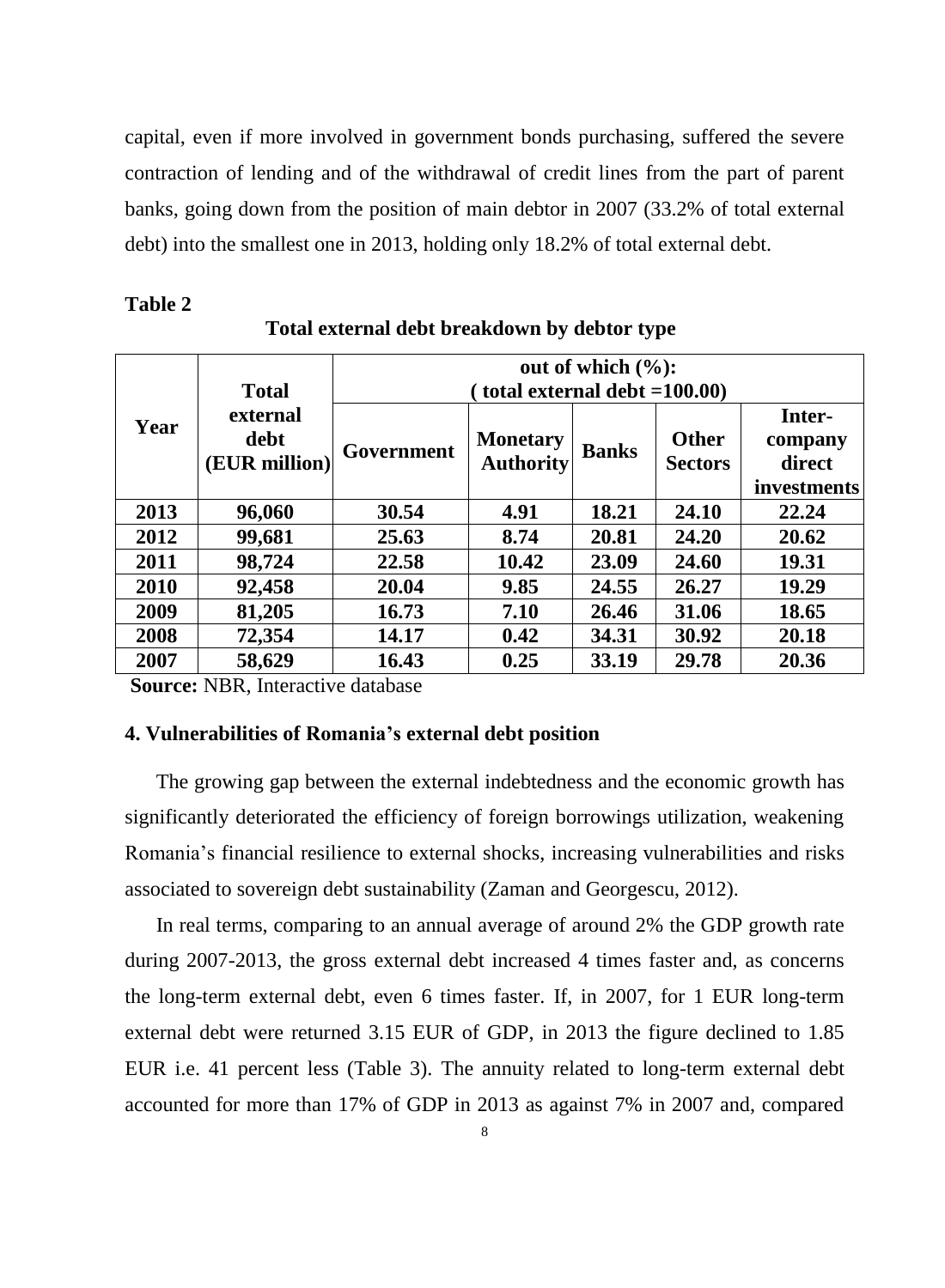capital, even if more involved in government bonds purchasing, suffered the severe contraction of lending and of the withdrawal of credit lines from the part of parent banks, going down from the position of main debtor in 2007 (33.2% of total external debt) into the smallest one in 2013, holding only 18.2% of total external debt.

# **Table 2**

| <b>Total</b><br>external<br>Year<br>debt<br>(EUR million) |            | out of which $(\%):$<br>(total external debt $=100.00$ ) |              |                                |                                            |       |  |  |  |
|-----------------------------------------------------------|------------|----------------------------------------------------------|--------------|--------------------------------|--------------------------------------------|-------|--|--|--|
|                                                           | Government | <b>Monetary</b><br><b>Authority</b>                      | <b>Banks</b> | <b>Other</b><br><b>Sectors</b> | Inter-<br>company<br>direct<br>investments |       |  |  |  |
| 2013                                                      | 96,060     | 30.54                                                    | 4.91         | 18.21                          | 24.10                                      | 22.24 |  |  |  |
| 2012                                                      | 99,681     | 25.63                                                    | 8.74         | 20.81                          | 24.20                                      | 20.62 |  |  |  |
| 2011                                                      | 98,724     | 22.58                                                    | 10.42        | 23.09                          | 24.60                                      | 19.31 |  |  |  |
| 2010                                                      | 92,458     | 20.04                                                    | 9.85         | 24.55                          | 26.27                                      | 19.29 |  |  |  |
| 2009                                                      | 81,205     | 16.73                                                    | 7.10         | 26.46                          | 31.06                                      | 18.65 |  |  |  |
| 2008                                                      | 72,354     | 14.17                                                    | 0.42         | 34.31                          | 30.92                                      | 20.18 |  |  |  |
| 2007                                                      | 58,629     | 16.43                                                    | 0.25         | 33.19                          | 29.78                                      | 20.36 |  |  |  |

### **Total external debt breakdown by debtor type**

**Source:** NBR, Interactive database

# **4. Vulnerabilities of Romania's external debt position**

The growing gap between the external indebtedness and the economic growth has significantly deteriorated the efficiency of foreign borrowings utilization, weakening Romania's financial resilience to external shocks, increasing vulnerabilities and risks associated to sovereign debt sustainability (Zaman and Georgescu, 2012).

In real terms, comparing to an annual average of around 2% the GDP growth rate during 2007-2013, the gross external debt increased 4 times faster and, as concerns the long-term external debt, even 6 times faster. If, in 2007, for 1 EUR long-term external debt were returned 3.15 EUR of GDP, in 2013 the figure declined to 1.85 EUR i.e. 41 percent less (Table 3). The annuity related to long-term external debt accounted for more than 17% of GDP in 2013 as against 7% in 2007 and, compared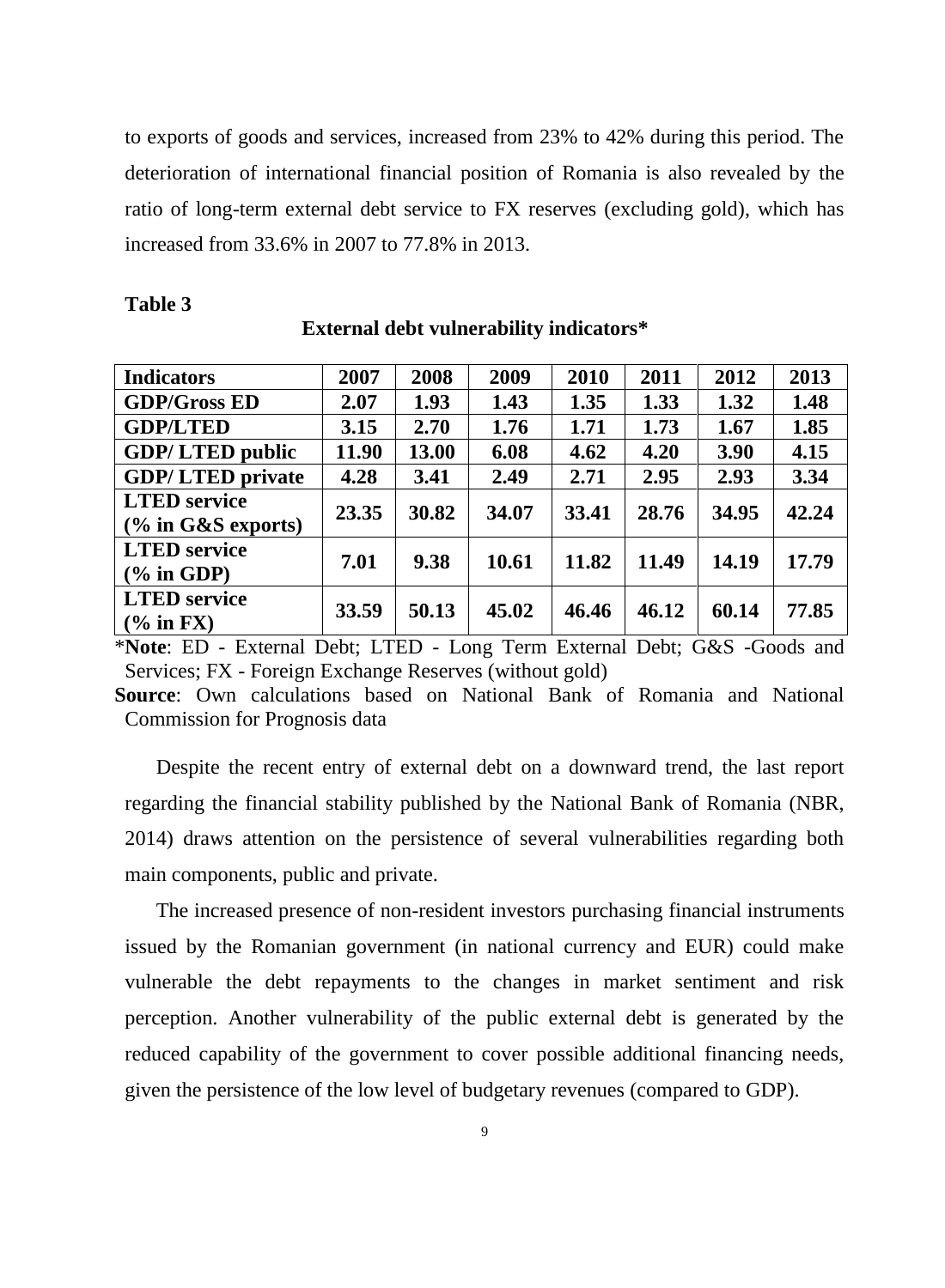to exports of goods and services, increased from 23% to 42% during this period. The deterioration of international financial position of Romania is also revealed by the ratio of long-term external debt service to FX reserves (excluding gold), which has increased from 33.6% in 2007 to 77.8% in 2013.

 **External debt vulnerability indicators\***

| <b>Indicators</b>       | 2007  | 2008  | 2009  | 2010  | 2011  | 2012  | 2013  |
|-------------------------|-------|-------|-------|-------|-------|-------|-------|
| <b>GDP/Gross ED</b>     | 2.07  | 1.93  | 1.43  | 1.35  | 1.33  | 1.32  | 1.48  |
| <b>GDP/LTED</b>         | 3.15  | 2.70  | 1.76  | 1.71  | 1.73  | 1.67  | 1.85  |
| <b>GDP/LTED public</b>  | 11.90 | 13.00 | 6.08  | 4.62  | 4.20  | 3.90  | 4.15  |
| <b>GDP/LTED private</b> | 4.28  | 3.41  | 2.49  | 2.71  | 2.95  | 2.93  | 3.34  |
| <b>LTED</b> service     | 23.35 | 30.82 | 34.07 | 33.41 | 28.76 | 34.95 | 42.24 |
| $(\%$ in G&S exports)   |       |       |       |       |       |       |       |
| <b>LTED</b> service     | 7.01  | 9.38  | 10.61 | 11.82 | 11.49 | 14.19 | 17.79 |
| $(\%$ in GDP)           |       |       |       |       |       |       |       |
| <b>LTED</b> service     |       | 50.13 | 45.02 | 46.46 | 46.12 | 60.14 | 77.85 |
| $(%$ in FX)             | 33.59 |       |       |       |       |       |       |

#### **Table 3**

\***Note**: ED - External Debt; LTED - Long Term External Debt; G&S -Goods and Services; FX - Foreign Exchange Reserves (without gold)

**Source**: Own calculations based on National Bank of Romania and National Commission for Prognosis data

Despite the recent entry of external debt on a downward trend, the last report regarding the financial stability published by the National Bank of Romania (NBR, 2014) draws attention on the persistence of several vulnerabilities regarding both main components, public and private.

The increased presence of non-resident investors purchasing financial instruments issued by the Romanian government (in national currency and EUR) could make vulnerable the debt repayments to the changes in market sentiment and risk perception. Another vulnerability of the public external debt is generated by the reduced capability of the government to cover possible additional financing needs, given the persistence of the low level of budgetary revenues (compared to GDP).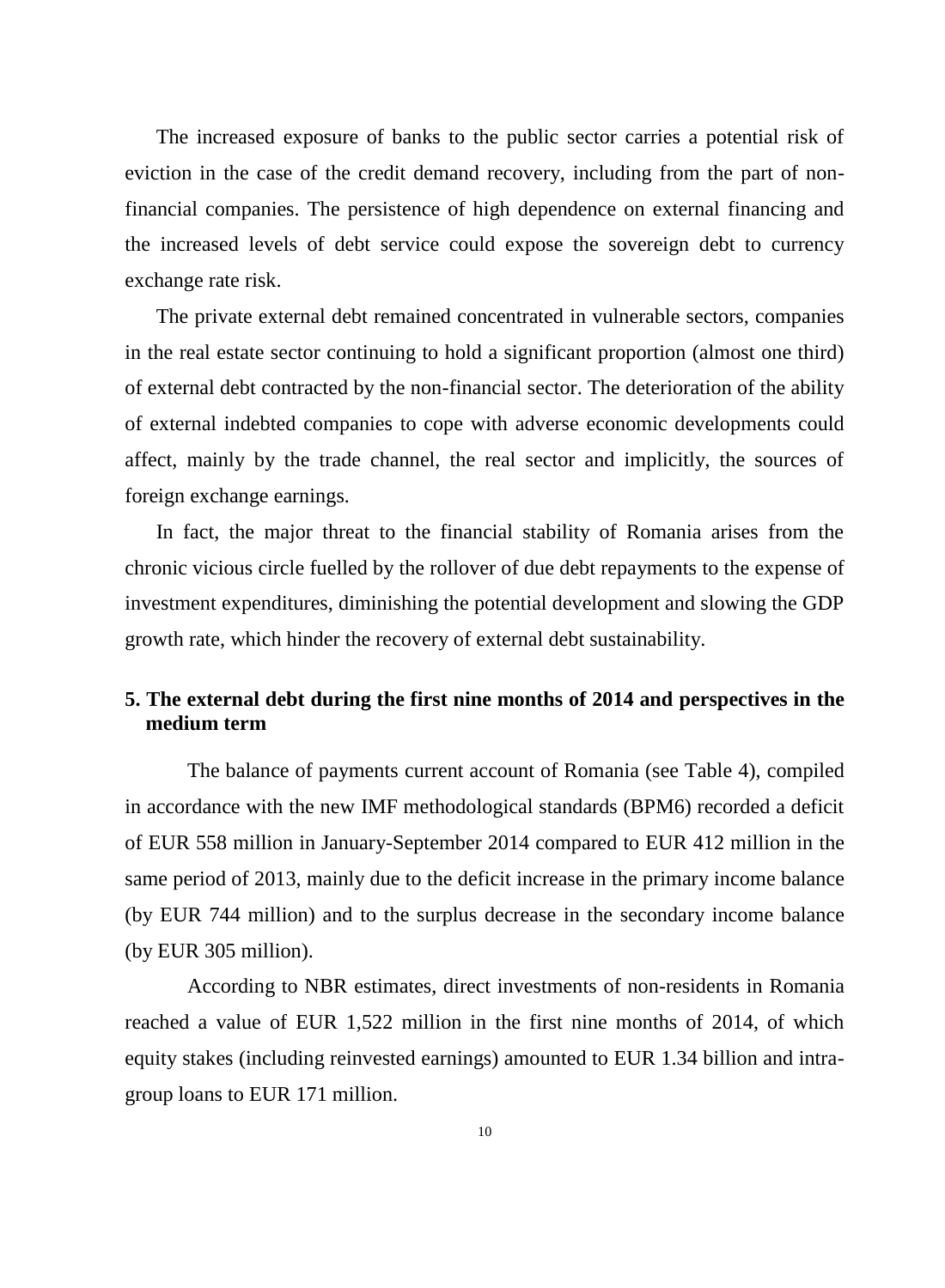The increased exposure of banks to the public sector carries a potential risk of eviction in the case of the credit demand recovery, including from the part of nonfinancial companies. The persistence of high dependence on external financing and the increased levels of debt service could expose the sovereign debt to currency exchange rate risk.

The private external debt remained concentrated in vulnerable sectors, companies in the real estate sector continuing to hold a significant proportion (almost one third) of external debt contracted by the non-financial sector. The deterioration of the ability of external indebted companies to cope with adverse economic developments could affect, mainly by the trade channel, the real sector and implicitly, the sources of foreign exchange earnings.

In fact, the major threat to the financial stability of Romania arises from the chronic vicious circle fuelled by the rollover of due debt repayments to the expense of investment expenditures, diminishing the potential development and slowing the GDP growth rate, which hinder the recovery of external debt sustainability.

# **5. The external debt during the first nine months of 2014 and perspectives in the medium term**

The balance of payments current account of Romania (see Table 4), compiled in accordance with the new IMF methodological standards (BPM6) recorded a deficit of EUR 558 million in January-September 2014 compared to EUR 412 million in the same period of 2013, mainly due to the deficit increase in the primary income balance (by EUR 744 million) and to the surplus decrease in the secondary income balance (by EUR 305 million).

According to NBR estimates, direct investments of non-residents in Romania reached a value of EUR 1,522 million in the first nine months of 2014, of which equity stakes (including reinvested earnings) amounted to EUR 1.34 billion and intragroup loans to EUR 171 million.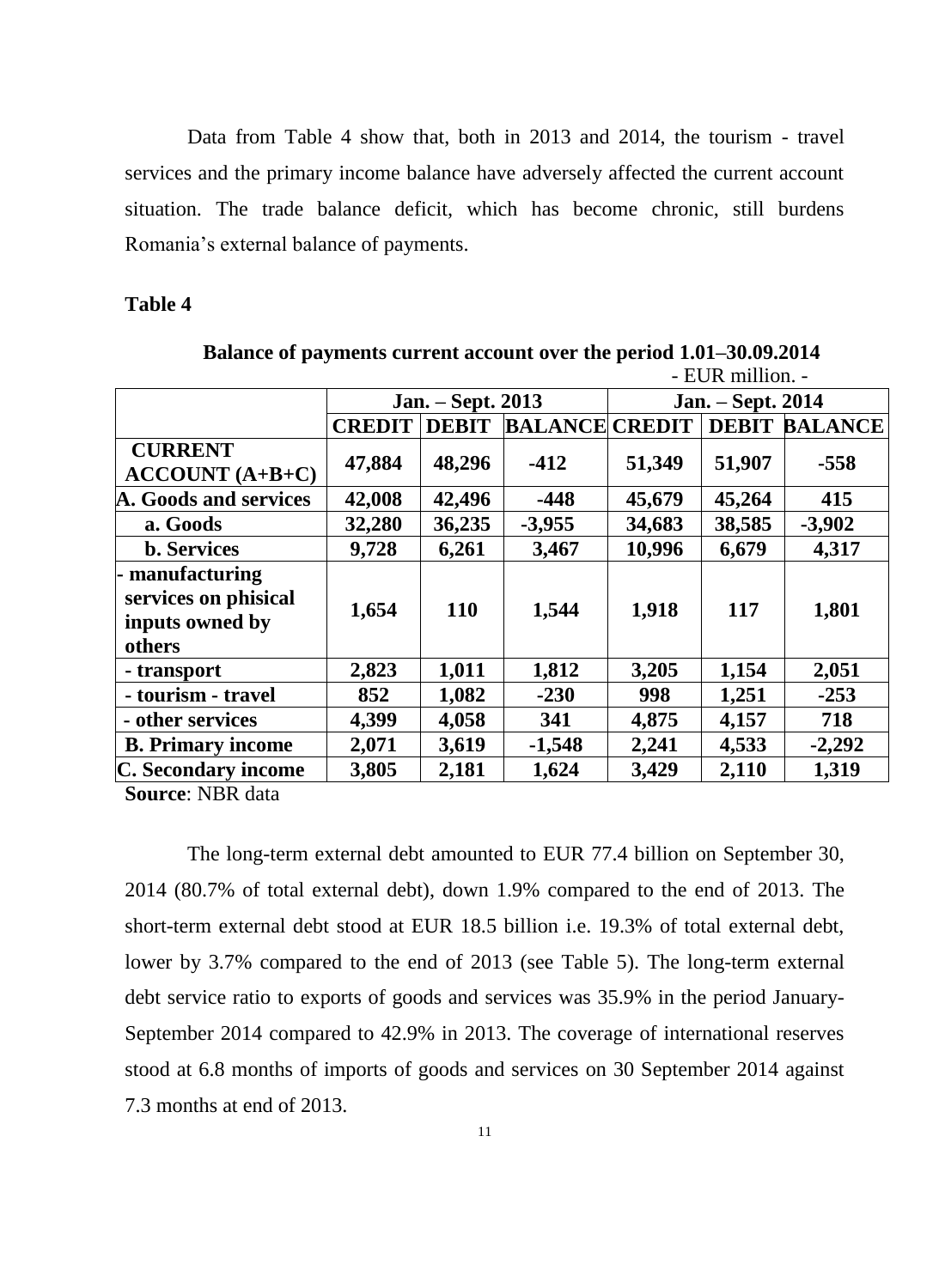Data from Table 4 show that, both in 2013 and 2014, the tourism - travel services and the primary income balance have adversely affected the current account situation. The trade balance deficit, which has become chronic, still burdens Romania's external balance of payments.

# **Table 4**

|                                                                      |               |                   |                       | - EUR million. -  |              |                |  |  |
|----------------------------------------------------------------------|---------------|-------------------|-----------------------|-------------------|--------------|----------------|--|--|
|                                                                      |               | Jan. - Sept. 2013 |                       | Jan. – Sept. 2014 |              |                |  |  |
|                                                                      | <b>CREDIT</b> | <b>DEBIT</b>      | <b>BALANCE CREDIT</b> |                   | <b>DEBIT</b> | <b>BALANCE</b> |  |  |
| <b>CURRENT</b><br>$ACCOUNT(A+B+C)$                                   | 47,884        | 48,296            | $-412$                | 51,349            | 51,907       | $-558$         |  |  |
| A. Goods and services                                                | 42,008        | 42,496            | $-448$                | 45,679            | 45,264       | 415            |  |  |
| a. Goods                                                             | 32,280        | 36,235            | $-3,955$              | 34,683            | 38,585       | $-3,902$       |  |  |
| <b>b.</b> Services                                                   | 9,728         | 6,261             | 3,467                 | 10,996            | 6,679        | 4,317          |  |  |
| - manufacturing<br>services on phisical<br>inputs owned by<br>others | 1,654         | <b>110</b>        | 1,544                 | 1,918             | 117          | 1,801          |  |  |
| - transport                                                          | 2,823         | 1,011             | 1,812                 | 3,205             | 1,154        | 2,051          |  |  |
| - tourism - travel                                                   | 852           | 1,082             | $-230$                | 998               | 1,251        | $-253$         |  |  |
| - other services                                                     | 4,399         | 4,058             | 341                   | 4,875             | 4,157        | 718            |  |  |
| <b>B.</b> Primary income                                             | 2,071         | 3,619             | $-1,548$              | 2,241             | 4,533        | $-2,292$       |  |  |
| C. Secondary income                                                  | 3,805         | 2,181             | 1,624                 | 3,429             | 2,110        | 1,319          |  |  |

**Balance of payments current account over the period 1.01–30.09.2014**

**Source**: NBR data

The long-term external debt amounted to EUR 77.4 billion on September 30, 2014 (80.7% of total external debt), down 1.9% compared to the end of 2013. The short-term external debt stood at EUR 18.5 billion i.e. 19.3% of total external debt, lower by 3.7% compared to the end of 2013 (see Table 5). The long-term external debt service ratio to exports of goods and services was 35.9% in the period January-September 2014 compared to 42.9% in 2013. The coverage of international reserves stood at 6.8 months of imports of goods and services on 30 September 2014 against 7.3 months at end of 2013.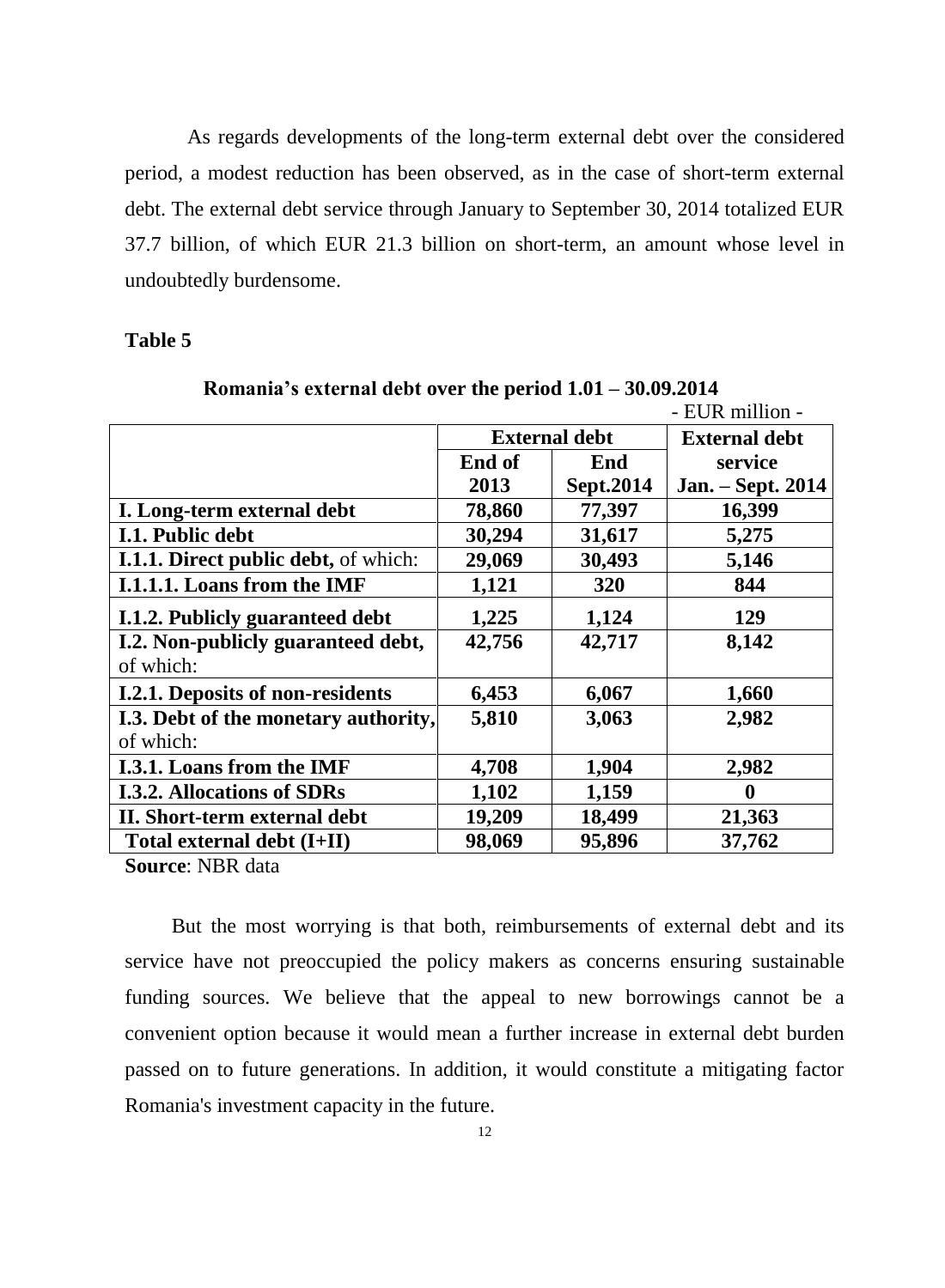As regards developments of the long-term external debt over the considered period, a modest reduction has been observed, as in the case of short-term external debt. The external debt service through January to September 30, 2014 totalized EUR 37.7 billion, of which EUR 21.3 billion on short-term, an amount whose level in undoubtedly burdensome.

#### **Table 5**

|                                      |                      |           | - EUR million -      |
|--------------------------------------|----------------------|-----------|----------------------|
|                                      | <b>External debt</b> |           | <b>External debt</b> |
|                                      | End of               | End       | service              |
|                                      | 2013                 | Sept.2014 | Jan. - Sept. 2014    |
| I. Long-term external debt           | 78,860               | 77,397    | 16,399               |
| I.1. Public debt                     | 30,294               | 31,617    | 5,275                |
| I.1.1. Direct public debt, of which: | 29,069               | 30,493    | 5,146                |
| I.1.1.1. Loans from the IMF          | 1,121                | 320       | 844                  |
| I.1.2. Publicly guaranteed debt      | 1,225                | 1,124     | 129                  |
| I.2. Non-publicly guaranteed debt,   | 42,756               | 42,717    | 8,142                |
| of which:                            |                      |           |                      |
| I.2.1. Deposits of non-residents     | 6,453                | 6,067     | 1,660                |
| I.3. Debt of the monetary authority, | 5,810                | 3,063     | 2,982                |
| of which:                            |                      |           |                      |
| I.3.1. Loans from the IMF            | 4,708                | 1,904     | 2,982                |
| <b>I.3.2. Allocations of SDRs</b>    | 1,102                | 1,159     | $\mathbf 0$          |
| II. Short-term external debt         | 19,209               | 18,499    | 21,363               |
| Total external debt (I+II)           | 98,069               | 95,896    | 37,762               |

**Romania's external debt over the period 1.01 – 30.09.2014** 

**Source**: NBR data

 But the most worrying is that both, reimbursements of external debt and its service have not preoccupied the policy makers as concerns ensuring sustainable funding sources. We believe that the appeal to new borrowings cannot be a convenient option because it would mean a further increase in external debt burden passed on to future generations. In addition, it would constitute a mitigating factor Romania's investment capacity in the future.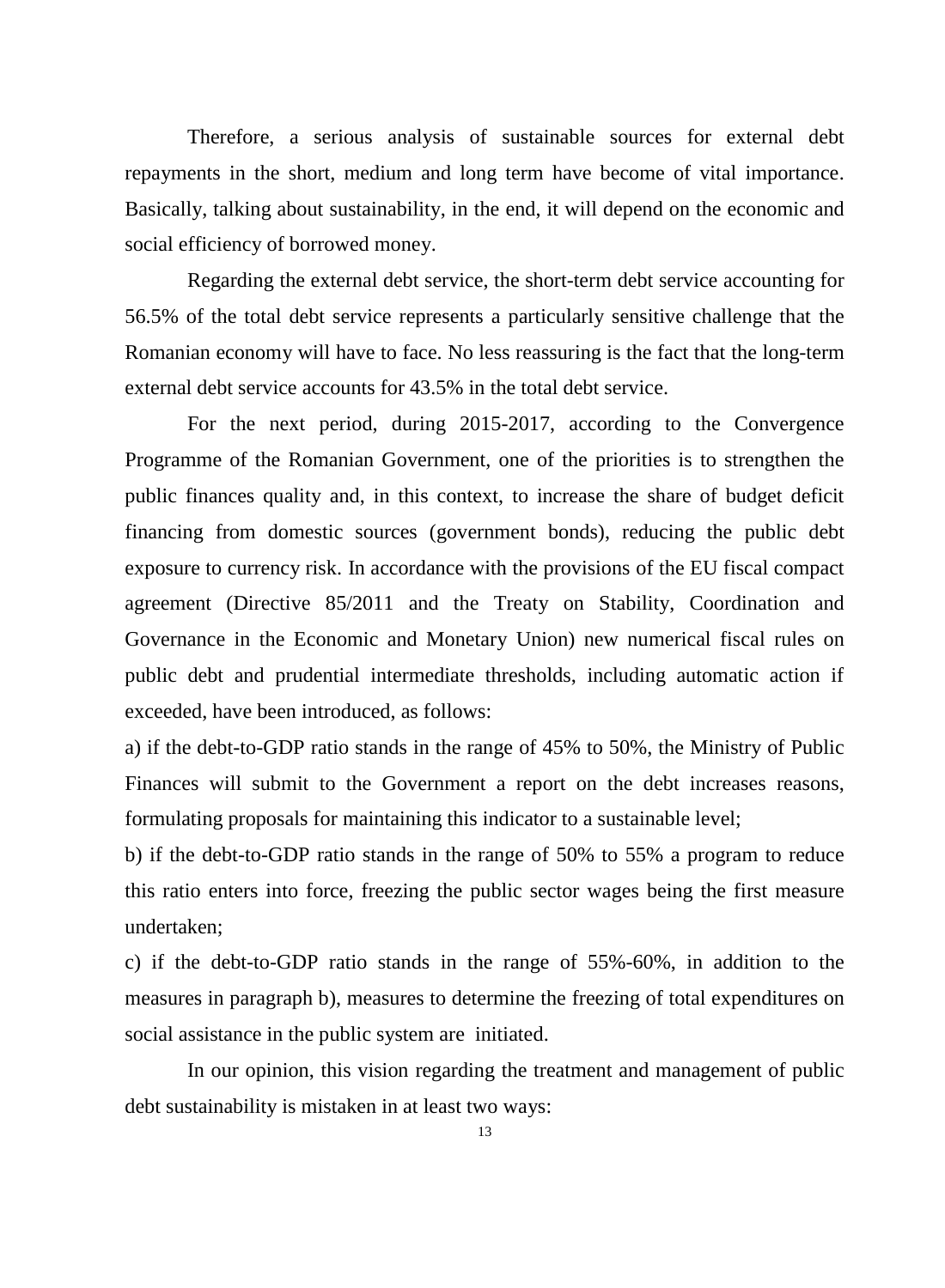Therefore, a serious analysis of sustainable sources for external debt repayments in the short, medium and long term have become of vital importance. Basically, talking about sustainability, in the end, it will depend on the economic and social efficiency of borrowed money.

Regarding the external debt service, the short-term debt service accounting for 56.5% of the total debt service represents a particularly sensitive challenge that the Romanian economy will have to face. No less reassuring is the fact that the long-term external debt service accounts for 43.5% in the total debt service.

For the next period, during 2015-2017, according to the Convergence Programme of the Romanian Government, one of the priorities is to strengthen the public finances quality and, in this context, to increase the share of budget deficit financing from domestic sources (government bonds), reducing the public debt exposure to currency risk. In accordance with the provisions of the EU fiscal compact agreement (Directive 85/2011 and the Treaty on Stability, Coordination and Governance in the Economic and Monetary Union) new numerical fiscal rules on public debt and prudential intermediate thresholds, including automatic action if exceeded, have been introduced, as follows:

a) if the debt-to-GDP ratio stands in the range of 45% to 50%, the Ministry of Public Finances will submit to the Government a report on the debt increases reasons, formulating proposals for maintaining this indicator to a sustainable level;

b) if the debt-to-GDP ratio stands in the range of 50% to 55% a program to reduce this ratio enters into force, freezing the public sector wages being the first measure undertaken;

c) if the debt-to-GDP ratio stands in the range of 55%-60%, in addition to the measures in paragraph b), measures to determine the freezing of total expenditures on social assistance in the public system are initiated.

In our opinion, this vision regarding the treatment and management of public debt sustainability is mistaken in at least two ways: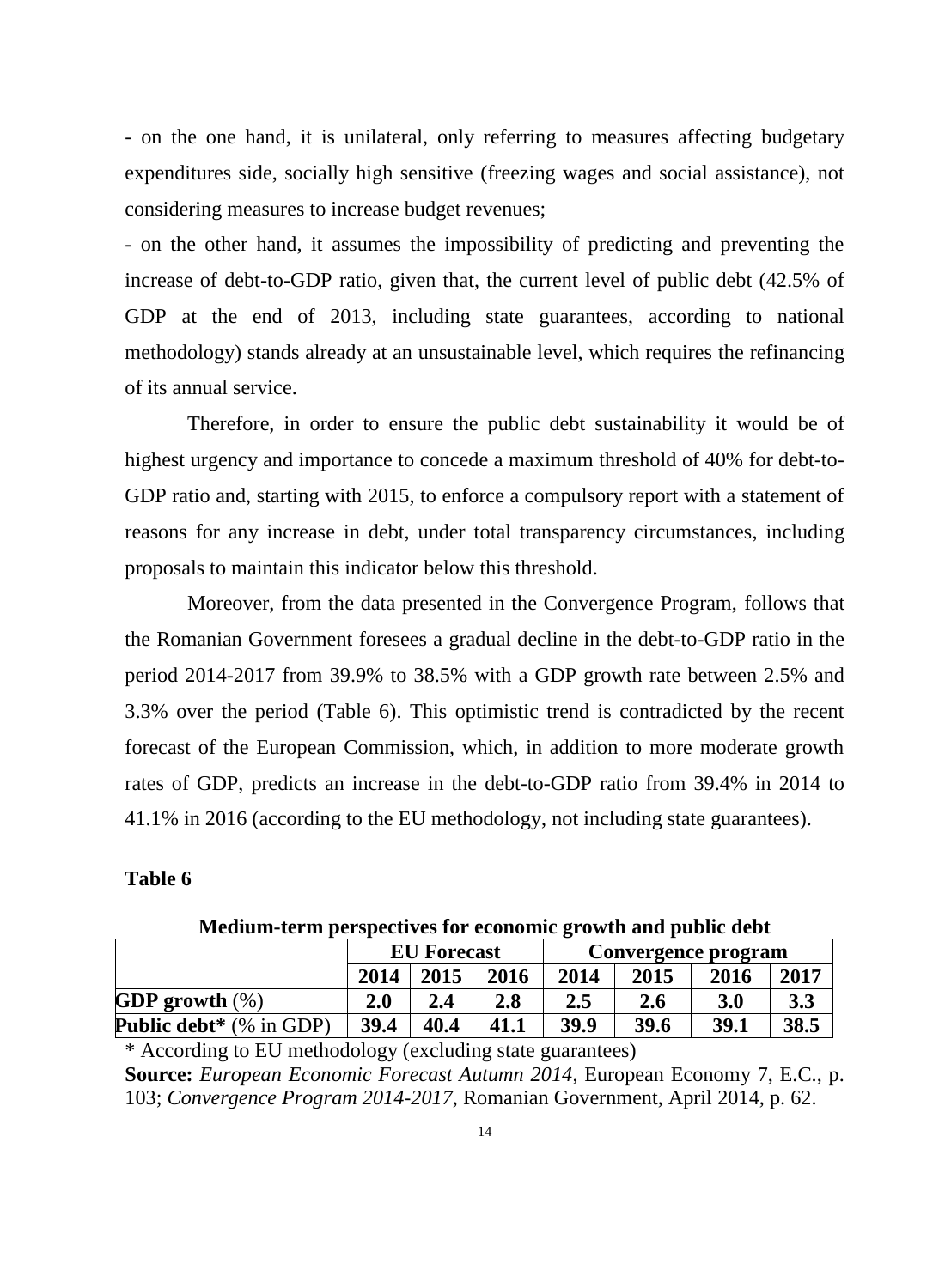- on the one hand, it is unilateral, only referring to measures affecting budgetary expenditures side, socially high sensitive (freezing wages and social assistance), not considering measures to increase budget revenues;

- on the other hand, it assumes the impossibility of predicting and preventing the increase of debt-to-GDP ratio, given that, the current level of public debt (42.5% of GDP at the end of 2013, including state guarantees, according to national methodology) stands already at an unsustainable level, which requires the refinancing of its annual service.

Therefore, in order to ensure the public debt sustainability it would be of highest urgency and importance to concede a maximum threshold of 40% for debt-to-GDP ratio and, starting with 2015, to enforce a compulsory report with a statement of reasons for any increase in debt, under total transparency circumstances, including proposals to maintain this indicator below this threshold.

Moreover, from the data presented in the Convergence Program, follows that the Romanian Government foresees a gradual decline in the debt-to-GDP ratio in the period 2014-2017 from 39.9% to 38.5% with a GDP growth rate between 2.5% and 3.3% over the period (Table 6). This optimistic trend is contradicted by the recent forecast of the European Commission, which, in addition to more moderate growth rates of GDP, predicts an increase in the debt-to-GDP ratio from 39.4% in 2014 to 41.1% in 2016 (according to the EU methodology, not including state guarantees).

# **Table 6**

|                                | <b>EU</b> Forecast |      |      | Convergence program |            |      |      |
|--------------------------------|--------------------|------|------|---------------------|------------|------|------|
|                                | 2014               | 2015 | 2016 | 2014                | 2015       | 2016 | 2017 |
| GDP growth $(\%)$              | 2.0                | 2.4  | 2.8  | 2.5                 | <b>2.6</b> | 3.0  | 3.3  |
| <b>Public debt*</b> (% in GDP) | 39.4               | 40.4 | 41.1 | 39.9                | 39.6       | 39.1 | 38.5 |

**Medium-term perspectives for economic growth and public debt** 

\* According to EU methodology (excluding state guarantees) **Source:** *European Economic Forecast Autumn 2014*, European Economy 7, E.C., p. 103; *Convergence Program 2014-2017*, Romanian Government, April 2014, p. 62.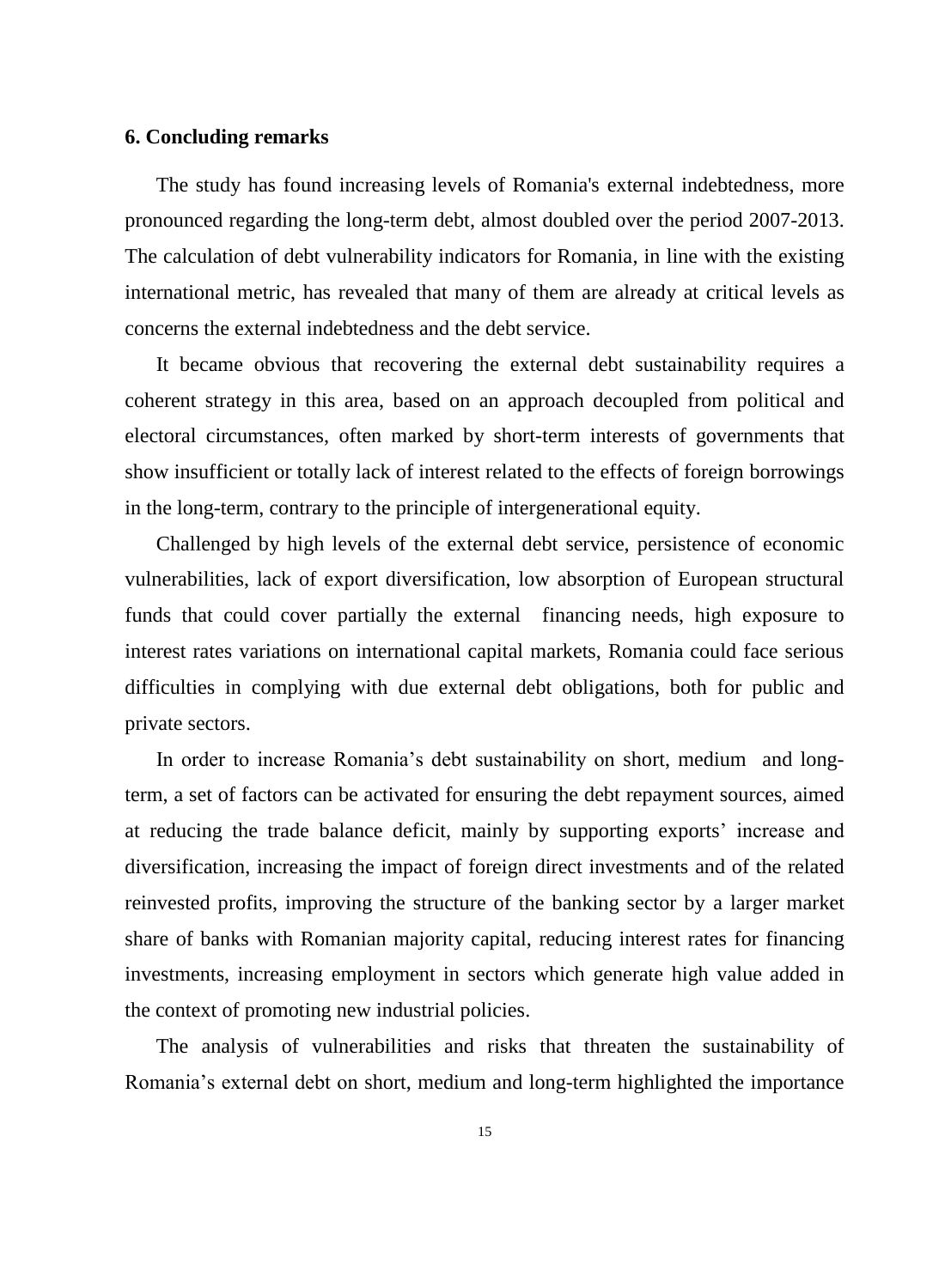### **6. Concluding remarks**

The study has found increasing levels of Romania's external indebtedness, more pronounced regarding the long-term debt, almost doubled over the period 2007-2013. The calculation of debt vulnerability indicators for Romania, in line with the existing international metric, has revealed that many of them are already at critical levels as concerns the external indebtedness and the debt service.

It became obvious that recovering the external debt sustainability requires a coherent strategy in this area, based on an approach decoupled from political and electoral circumstances, often marked by short-term interests of governments that show insufficient or totally lack of interest related to the effects of foreign borrowings in the long-term, contrary to the principle of intergenerational equity.

Challenged by high levels of the external debt service, persistence of economic vulnerabilities, lack of export diversification, low absorption of European structural funds that could cover partially the external financing needs, high exposure to interest rates variations on international capital markets, Romania could face serious difficulties in complying with due external debt obligations, both for public and private sectors.

In order to increase Romania's debt sustainability on short, medium and longterm, a set of factors can be activated for ensuring the debt repayment sources, aimed at reducing the trade balance deficit, mainly by supporting exports' increase and diversification, increasing the impact of foreign direct investments and of the related reinvested profits, improving the structure of the banking sector by a larger market share of banks with Romanian majority capital, reducing interest rates for financing investments, increasing employment in sectors which generate high value added in the context of promoting new industrial policies.

The analysis of vulnerabilities and risks that threaten the sustainability of Romania's external debt on short, medium and long-term highlighted the importance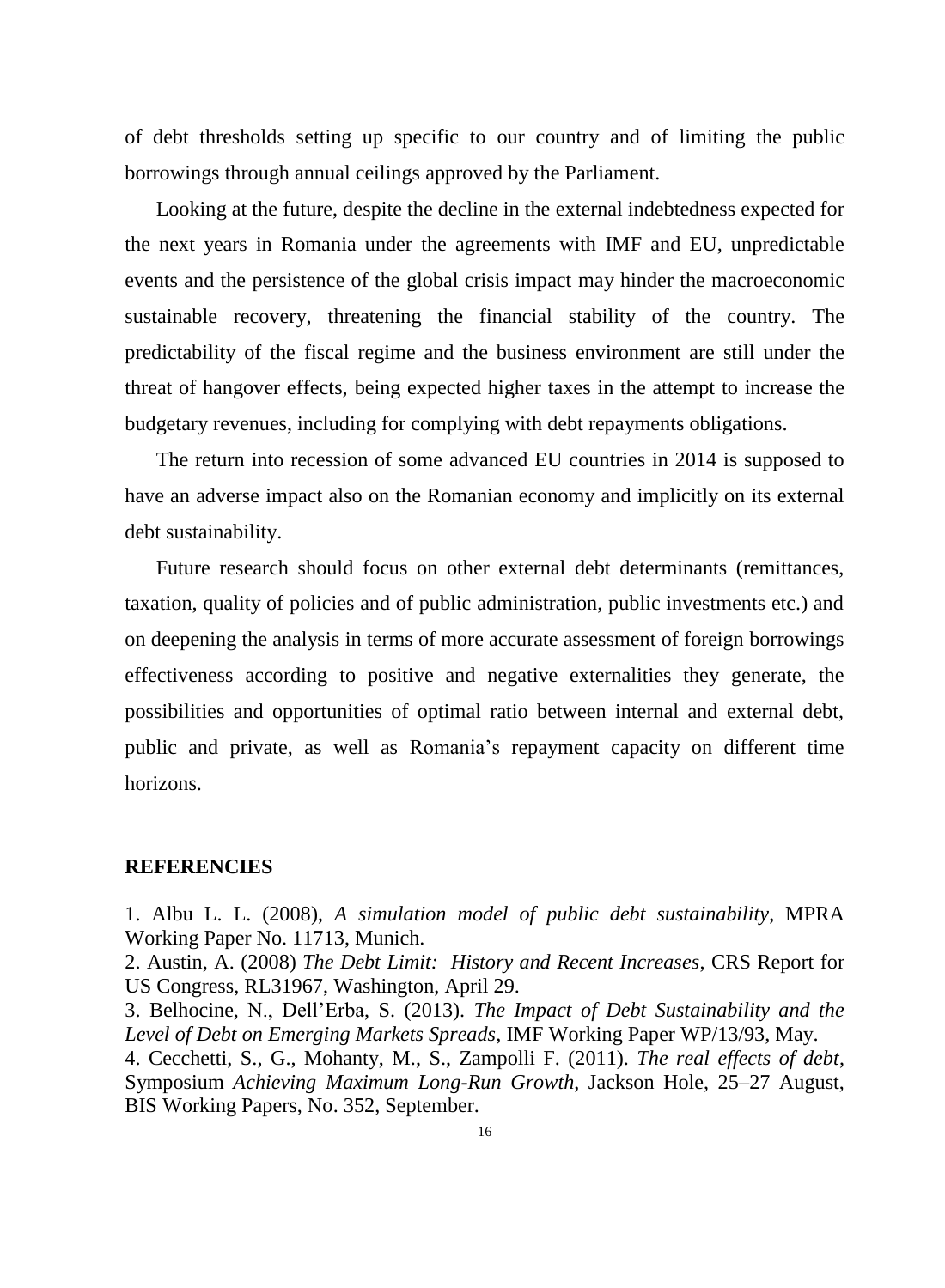of debt thresholds setting up specific to our country and of limiting the public borrowings through annual ceilings approved by the Parliament.

Looking at the future, despite the decline in the external indebtedness expected for the next years in Romania under the agreements with IMF and EU, unpredictable events and the persistence of the global crisis impact may hinder the macroeconomic sustainable recovery, threatening the financial stability of the country. The predictability of the fiscal regime and the business environment are still under the threat of hangover effects, being expected higher taxes in the attempt to increase the budgetary revenues, including for complying with debt repayments obligations.

The return into recession of some advanced EU countries in 2014 is supposed to have an adverse impact also on the Romanian economy and implicitly on its external debt sustainability.

Future research should focus on other external debt determinants (remittances, taxation, quality of policies and of public administration, public investments etc.) and on deepening the analysis in terms of more accurate assessment of foreign borrowings effectiveness according to positive and negative externalities they generate, the possibilities and opportunities of optimal ratio between internal and external debt, public and private, as well as Romania's repayment capacity on different time horizons.

### **REFERENCIES**

1. Albu L. L. (2008), *A simulation model of public debt sustainability*, MPRA Working Paper No. 11713, Munich.

2. Austin, A. (2008) *The Debt Limit: History and Recent Increases*, CRS Report for US Congress, RL31967, Washington, April 29.

3. Belhocine, N., Dell'Erba, S. (2013). *The Impact of Debt Sustainability and the Level of Debt on Emerging Markets Spreads*, IMF Working Paper WP/13/93, May.

4. Cecchetti, S., G., Mohanty, M., S., Zampolli F. (2011). *The real effects of debt*, Symposium *Achieving Maximum Long-Run Growth*, Jackson Hole, 25–27 August, BIS Working Papers, No. 352, September.